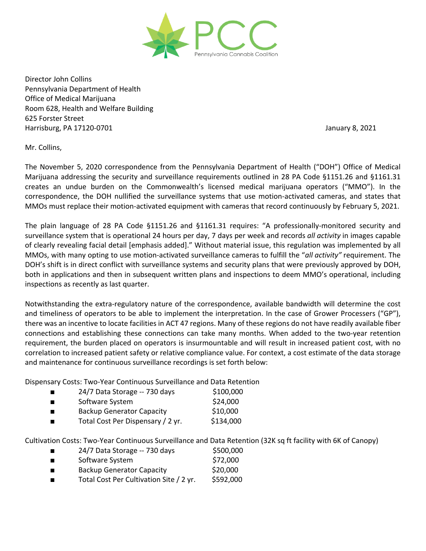

Director John Collins Pennsylvania Department of Health Office of Medical Marijuana Room 628, Health and Welfare Building 625 Forster Street Harrisburg, PA 17120-0701 January 8, 2021

Mr. Collins,

The November 5, 2020 correspondence from the Pennsylvania Department of Health ("DOH") Office of Medical Marijuana addressing the security and surveillance requirements outlined in 28 PA Code §1151.26 and §1161.31 creates an undue burden on the Commonwealth's licensed medical marijuana operators ("MMO"). In the correspondence, the DOH nullified the surveillance systems that use motion-activated cameras, and states that MMOs must replace their motion-activated equipment with cameras that record continuously by February 5, 2021.

The plain language of 28 PA Code §1151.26 and §1161.31 requires: "A professionally-monitored security and surveillance system that is operational 24 hours per day, 7 days per week and records *all activity* in images capable of clearly revealing facial detail [emphasis added]." Without material issue, this regulation was implemented by all MMOs, with many opting to use motion-activated surveillance cameras to fulfill the "*all activity"* requirement. The DOH's shift is in direct conflict with surveillance systems and security plans that were previously approved by DOH, both in applications and then in subsequent written plans and inspections to deem MMO's operational, including inspections as recently as last quarter.

Notwithstanding the extra-regulatory nature of the correspondence, available bandwidth will determine the cost and timeliness of operators to be able to implement the interpretation. In the case of Grower Processers ("GP"), there was an incentive to locate facilities in ACT 47 regions. Many of these regions do not have readily available fiber connections and establishing these connections can take many months. When added to the two-year retention requirement, the burden placed on operators is insurmountable and will result in increased patient cost, with no correlation to increased patient safety or relative compliance value. For context, a cost estimate of the data storage and maintenance for continuous surveillance recordings is set forth below:

Dispensary Costs: Two-Year Continuous Surveillance and Data Retention

- $\blacksquare$  24/7 Data Storage -- 730 days \$100,000
- Software System \$24,000 ■ Backup Generator Capacity 510,000
- Total Cost Per Dispensary / 2 yr. \$134,000

Cultivation Costs: Two-Year Continuous Surveillance and Data Retention (32K sq ft facility with 6K of Canopy)

- $\blacksquare$  24/7 Data Storage -- 730 days \$500,000
- Software System \$72,000
- Backup Generator Capacity 520,000
- Total Cost Per Cultivation Site / 2 yr. \$592,000